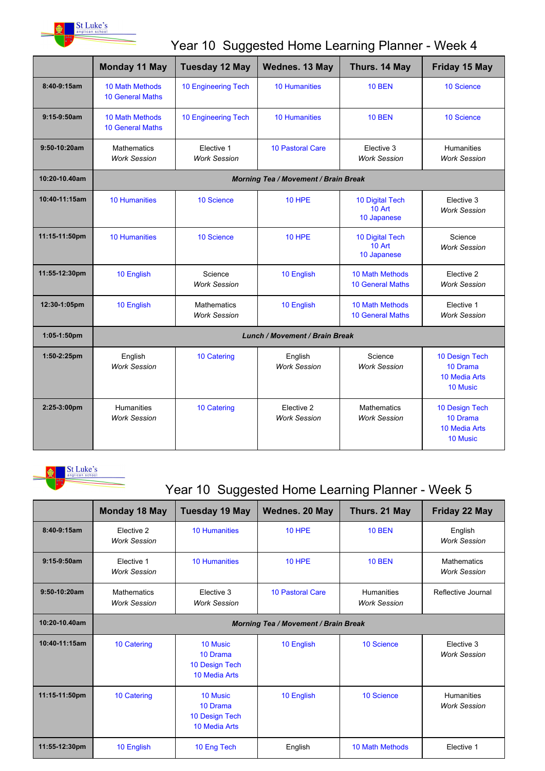

## Year 10 Suggested Home Learning Planner - Week 4

|               | <b>Monday 11 May</b>                        | <b>Tuesday 12 May</b>                     | Wednes. 13 May                    | Thurs. 14 May                                     | Friday 15 May                                                  |  |  |
|---------------|---------------------------------------------|-------------------------------------------|-----------------------------------|---------------------------------------------------|----------------------------------------------------------------|--|--|
| 8:40-9:15am   | 10 Math Methods<br><b>10 General Maths</b>  | 10 Engineering Tech                       | <b>10 Humanities</b>              | <b>10 BEN</b>                                     | 10 Science                                                     |  |  |
| $9:15-9:50am$ | 10 Math Methods<br>10 General Maths         | 10 Engineering Tech                       | <b>10 Humanities</b>              | <b>10 BEN</b>                                     | 10 Science                                                     |  |  |
| 9:50-10:20am  | <b>Mathematics</b><br><b>Work Session</b>   | Elective 1<br><b>Work Session</b>         | <b>10 Pastoral Care</b>           | Elective 3<br><b>Work Session</b>                 | <b>Humanities</b><br><b>Work Session</b>                       |  |  |
| 10:20-10.40am | <b>Morning Tea / Movement / Brain Break</b> |                                           |                                   |                                                   |                                                                |  |  |
| 10:40-11:15am | <b>10 Humanities</b>                        | 10 Science                                | <b>10 HPE</b>                     | 10 Digital Tech<br>10 Art<br>10 Japanese          | Elective 3<br><b>Work Session</b>                              |  |  |
| 11:15-11:50pm | <b>10 Humanities</b>                        | 10 Science                                | <b>10 HPE</b>                     | <b>10 Digital Tech</b><br>$10$ Art<br>10 Japanese | Science<br><b>Work Session</b>                                 |  |  |
| 11:55-12:30pm | 10 English                                  | Science<br><b>Work Session</b>            | 10 English                        | 10 Math Methods<br><b>10 General Maths</b>        | Elective 2<br><b>Work Session</b>                              |  |  |
| 12:30-1:05pm  | 10 English                                  | <b>Mathematics</b><br><b>Work Session</b> | 10 English                        | <b>10 Math Methods</b><br><b>10 General Maths</b> | Elective 1<br><b>Work Session</b>                              |  |  |
| 1:05-1:50pm   | <b>Lunch / Movement / Brain Break</b>       |                                           |                                   |                                                   |                                                                |  |  |
| 1:50-2:25pm   | English<br><b>Work Session</b>              | 10 Catering                               | English<br><b>Work Session</b>    | Science<br><b>Work Session</b>                    | 10 Design Tech<br>10 Drama<br>10 Media Arts<br><b>10 Music</b> |  |  |
| 2:25-3:00pm   | <b>Humanities</b><br><b>Work Session</b>    | 10 Catering                               | Elective 2<br><b>Work Session</b> | <b>Mathematics</b><br><b>Work Session</b>         | 10 Design Tech<br>10 Drama<br>10 Media Arts<br>10 Music        |  |  |

St Luke's

## Year 10 Suggested Home Learning Planner - Week 5

|                | <b>Monday 18 May</b>                        | <b>Tuesday 19 May</b>                                   | Wednes. 20 May          | Thurs. 21 May                            | Friday 22 May                             |  |
|----------------|---------------------------------------------|---------------------------------------------------------|-------------------------|------------------------------------------|-------------------------------------------|--|
| 8:40-9:15am    | Elective 2<br><b>Work Session</b>           | <b>10 Humanities</b>                                    | <b>10 HPE</b>           | <b>10 BEN</b>                            | English<br><b>Work Session</b>            |  |
| $9:15-9:50am$  | Elective 1<br><b>Work Session</b>           | <b>10 Humanities</b>                                    | <b>10 HPE</b>           | <b>10 BEN</b>                            | <b>Mathematics</b><br><b>Work Session</b> |  |
| $9:50-10:20am$ | <b>Mathematics</b><br><b>Work Session</b>   | Elective 3<br><b>Work Session</b>                       | <b>10 Pastoral Care</b> | <b>Humanities</b><br><b>Work Session</b> | Reflective Journal                        |  |
| 10:20-10.40am  | <b>Morning Tea / Movement / Brain Break</b> |                                                         |                         |                                          |                                           |  |
| 10:40-11:15am  | 10 Catering                                 | 10 Music<br>10 Drama<br>10 Design Tech<br>10 Media Arts | 10 English              | 10 Science                               | Elective 3<br><b>Work Session</b>         |  |
| 11:15-11:50pm  | 10 Catering                                 | 10 Music<br>10 Drama<br>10 Design Tech<br>10 Media Arts | 10 English              | 10 Science                               | <b>Humanities</b><br><b>Work Session</b>  |  |
| 11:55-12:30pm  | 10 English                                  | 10 Eng Tech                                             | English                 | 10 Math Methods                          | Elective 1                                |  |